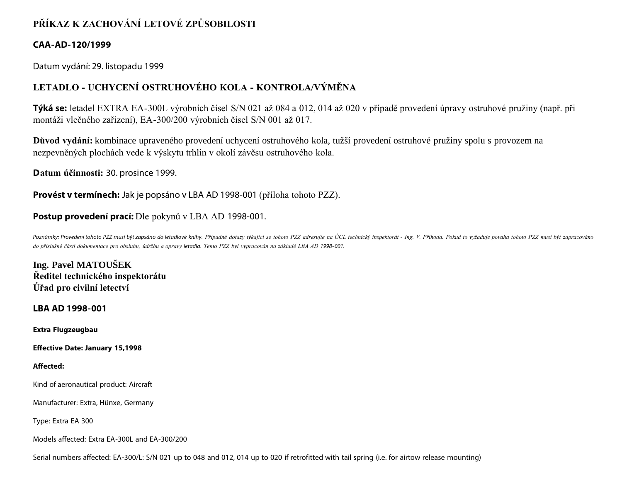# **PŘÍKAZ K ZACHOVÁNÍ LETOVÉ ZPŮSOBILOSTI**

### **CAA-AD-120/1999**

Datum vydání: 29. listopadu 1999

## **LETADLO - UCHYCENÍ OSTRUHOVÉHO KOLA - KONTROLA/VÝMĚNA**

**Týká se:** letadel EXTRA EA-300L výrobních čísel S/N 021 až 084 a 012, 014 až 020 v případě provedení úpravy ostruhové pružiny (např. při montáži vlečného zařízení), EA-300/200 výrobních čísel S/N 001 až 017.

**Důvod vydání:** kombinace upraveného provedení uchycení ostruhového kola, tužší provedení ostruhové pružiny spolu s provozem na nezpevněných plochách vede k výskytu trhlin v okolí závěsu ostruhového kola.

**Datum účinnosti:** 30. prosince 1999.

**Provést v termínech:** Jak je popsáno v LBA AD 1998-001 (příloha tohoto PZZ).

## **Postup provedení prací:** Dle pokynů v LBA AD 1998-001.

Poznámky: Provedení tohoto PZZ musí být zapsáno do letadlové knihy. Případné dotazy týkající se tohoto PZZ adresujte na ÚCL technický inspektorát - Ing. V. Příhoda. Pokud to vyžaduje povaha tohoto PZZ musí být zapracováno *do příslušné části dokumentace pro obsluhu, údržbu a opravy letadla. Tento PZZ byl vypracován na základě LBA AD 1998- 001.*

**Ing. Pavel MATOUŠEK Ředitel technického inspektorátu Úřad pro civilní letectví**

**LBA AD 1998-001**

**Extra Flugzeugbau**

**Effective Date: January 15,1998**

#### **Affected:**

Kind of aeronautical product: Aircraft

Manufacturer: Extra, Hünxe, Germany

Type: Extra EA 300

Models affected: Extra EA-300L and EA-300/200

Serial numbers affected: EA-300/L: S/N 021 up to 048 and 012, 014 up to 020 if retrofitted with tail spring (i.e. for airtow release mounting)